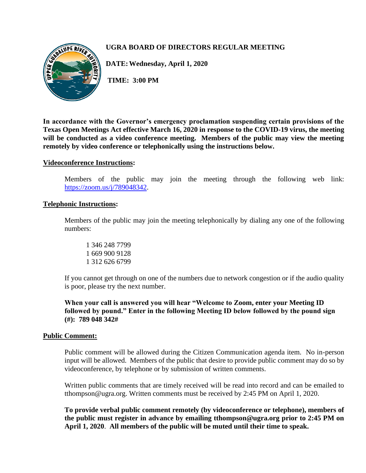

# **UGRA BOARD OF DIRECTORS REGULAR MEETING**

**DATE:Wednesday, April 1, 2020**

**TIME: 3:00 PM**

**In accordance with the Governor's emergency proclamation suspending certain provisions of the Texas Open Meetings Act effective March 16, 2020 in response to the COVID-19 virus, the meeting will be conducted as a video conference meeting. Members of the public may view the meeting remotely by video conference or telephonically using the instructions below.**

### **Videoconference Instructions:**

Members of the public may join the meeting through the following web link: [https://zoom.us/j/789048342.](https://zoom.us/j/789048342)

### **Telephonic Instructions:**

Members of the public may join the meeting telephonically by dialing any one of the following numbers:

1 346 248 7799 1 669 900 9128 1 312 626 6799

If you cannot get through on one of the numbers due to network congestion or if the audio quality is poor, please try the next number.

**When your call is answered you will hear "Welcome to Zoom, enter your Meeting ID followed by pound." Enter in the following Meeting ID below followed by the pound sign (#): 789 048 342#**

#### **Public Comment:**

Public comment will be allowed during the Citizen Communication agenda item. No in-person input will be allowed. Members of the public that desire to provide public comment may do so by videoconference, by telephone or by submission of written comments.

Written public comments that are timely received will be read into record and can be emailed to tthompson@ugra.org. Written comments must be received by 2:45 PM on April 1, 2020.

**To provide verbal public comment remotely (by videoconference or telephone), members of the public must register in advance by emailing tthompson@ugra.org prior to 2:45 PM on April 1, 2020**. **All members of the public will be muted until their time to speak.**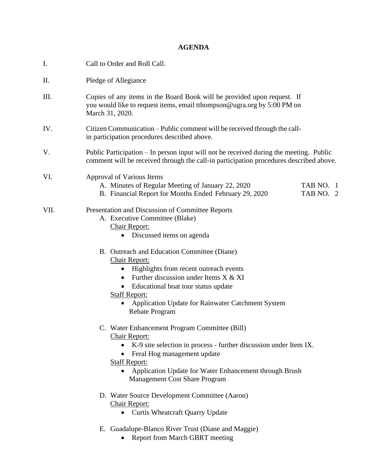# **AGENDA**

| I.   | Call to Order and Roll Call.                                                                                                                                                                                                                                                                                                  |  |  |
|------|-------------------------------------------------------------------------------------------------------------------------------------------------------------------------------------------------------------------------------------------------------------------------------------------------------------------------------|--|--|
| Π.   | Pledge of Allegiance                                                                                                                                                                                                                                                                                                          |  |  |
| III. | Copies of any items in the Board Book will be provided upon request. If<br>you would like to request items, email tthompson@ugra.org by 5:00 PM on<br>March 31, 2020.                                                                                                                                                         |  |  |
| IV.  | Citizen Communication – Public comment will be received through the call-<br>in participation procedures described above.                                                                                                                                                                                                     |  |  |
| V.   | Public Participation – In person input will not be received during the meeting. Public<br>comment will be received through the call-in participation procedures described above.                                                                                                                                              |  |  |
| VI.  | Approval of Various Items<br>A. Minutes of Regular Meeting of January 22, 2020<br>TAB NO. 1<br>B. Financial Report for Months Ended February 29, 2020<br>TAB NO. 2                                                                                                                                                            |  |  |
| VII. | Presentation and Discussion of Committee Reports<br>A. Executive Committee (Blake)<br>Chair Report:<br>• Discussed items on agenda                                                                                                                                                                                            |  |  |
|      | B. Outreach and Education Committee (Diane)<br><b>Chair Report:</b><br>Highlights from recent outreach events<br>$\bullet$<br>Further discussion under Items X & XI<br>Educational boat tour status update<br><b>Staff Report:</b><br>Application Update for Rainwater Catchment System<br>Rebate Program                     |  |  |
|      | C. Water Enhancement Program Committee (Bill)<br><b>Chair Report:</b><br>K-9 site selection in process - further discussion under Item IX.<br>$\bullet$<br>Feral Hog management update<br><b>Staff Report:</b><br>Application Update for Water Enhancement through Brush<br>$\bullet$<br><b>Management Cost Share Program</b> |  |  |
|      | D. Water Source Development Committee (Aaron)<br>Chair Report:<br>• Curtis Wheatcraft Quarry Update                                                                                                                                                                                                                           |  |  |
|      | E. Guadalupe-Blanco River Trust (Diane and Maggie)<br><b>Report from March GBRT meeting</b>                                                                                                                                                                                                                                   |  |  |